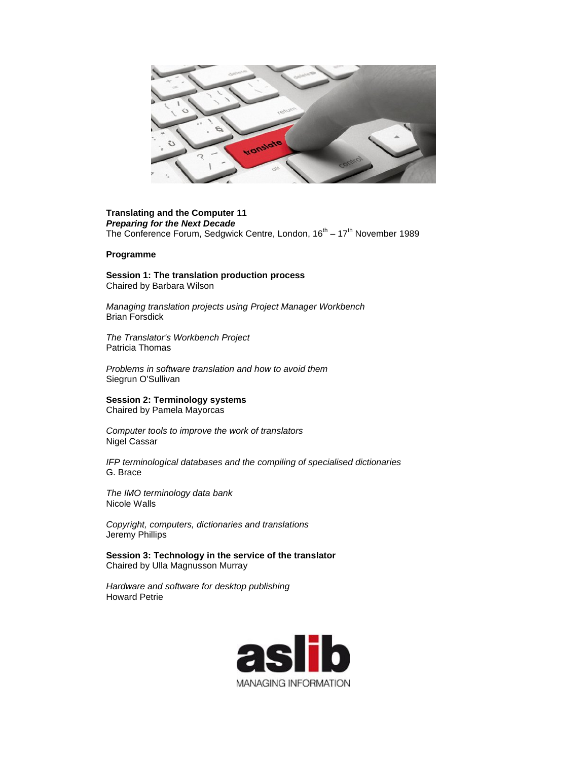

## **Translating and the Computer 11** *Preparing for the Next Decade* The Conference Forum, Sedgwick Centre, London, 16<sup>th</sup> – 17<sup>th</sup> November 1989

## **Programme**

**Session 1: The translation production process**  Chaired by Barbara Wilson

*Managing translation projects using Project Manager Workbench*  Brian Forsdick

*The Translator's Workbench Project* Patricia Thomas

*Problems in software translation and how to avoid them*  Siegrun O'Sullivan

**Session 2: Terminology systems** 

Chaired by Pamela Mayorcas

*Computer tools to improve the work of translators*  Nigel Cassar

*IFP terminological databases and the compiling of specialised dictionaries*  G. Brace

*The IMO terminology data bank*  Nicole Walls

*Copyright, computers, dictionaries and translations*  Jeremy Phillips

**Session 3: Technology in the service of the translator**  Chaired by Ulla Magnusson Murray

*Hardware and software for desktop publishing*  Howard Petrie